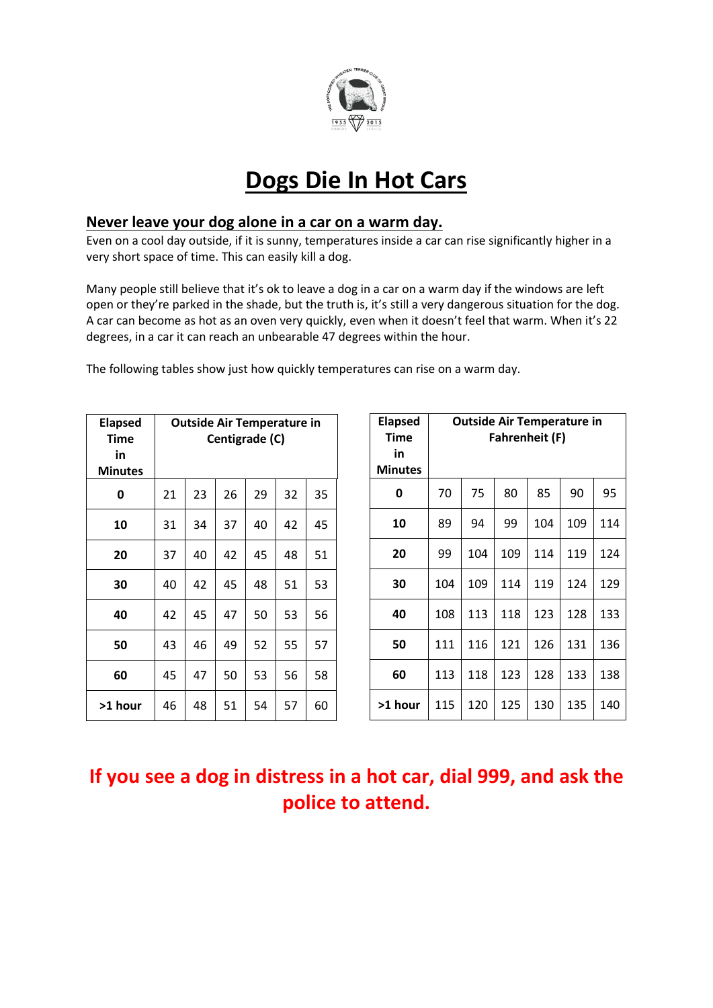

# **Dogs Die In Hot Cars**

#### **Never leave your dog alone in a car on a warm day.**

Even on a cool day outside, if it is sunny, temperatures inside a car can rise significantly higher in a very short space of time. This can easily kill a dog.

Many people still believe that it's ok to leave a dog in a car on a warm day if the windows are left open or they're parked in the shade, but the truth is, it's still a very dangerous situation for the dog. A car can become as hot as an oven very quickly, even when it doesn't feel that warm. When it's 22 degrees, in a car it can reach an unbearable 47 degrees within the hour.

The following tables show just how quickly temperatures can rise on a warm day.

| <b>Elapsed</b><br><b>Time</b><br>in<br><b>Minutes</b> | <b>Outside Air Temperature in</b><br>Centigrade (C) |    |    |    |    |    |  |  |
|-------------------------------------------------------|-----------------------------------------------------|----|----|----|----|----|--|--|
| 0                                                     | 21                                                  | 23 | 26 | 29 | 32 | 35 |  |  |
| 10                                                    | 31                                                  | 34 | 37 | 40 | 42 | 45 |  |  |
| 20                                                    | 37                                                  | 40 | 42 | 45 | 48 | 51 |  |  |
| 30                                                    | 40                                                  | 42 | 45 | 48 | 51 | 53 |  |  |
| 40                                                    | 42                                                  | 45 | 47 | 50 | 53 | 56 |  |  |
| 50                                                    | 43                                                  | 46 | 49 | 52 | 55 | 57 |  |  |
| 60                                                    | 45                                                  | 47 | 50 | 53 | 56 | 58 |  |  |
| >1 hour                                               | 46                                                  | 48 | 51 | 54 | 57 | 60 |  |  |

| <b>Elapsed</b><br>Time<br>in<br><b>Minutes</b> | <b>Outside Air Temperature in</b><br><b>Fahrenheit (F)</b> |     |     |     |     |     |  |  |  |
|------------------------------------------------|------------------------------------------------------------|-----|-----|-----|-----|-----|--|--|--|
| 0                                              | 70                                                         | 75  | 80  | 85  | 90  | 95  |  |  |  |
| 10                                             | 89                                                         | 94  | 99  | 104 | 109 | 114 |  |  |  |
| 20                                             | 99                                                         | 104 | 109 | 114 | 119 | 124 |  |  |  |
| 30                                             | 104                                                        | 109 | 114 | 119 | 124 | 129 |  |  |  |
| 40                                             | 108                                                        | 113 | 118 | 123 | 128 | 133 |  |  |  |
| 50                                             | 111                                                        | 116 | 121 | 126 | 131 | 136 |  |  |  |
| 60                                             | 113                                                        | 118 | 123 | 128 | 133 | 138 |  |  |  |
| >1 hour                                        | 115                                                        | 120 | 125 | 130 | 135 | 140 |  |  |  |

## **If you see a dog in distress in a hot car, dial 999, and ask the police to attend.**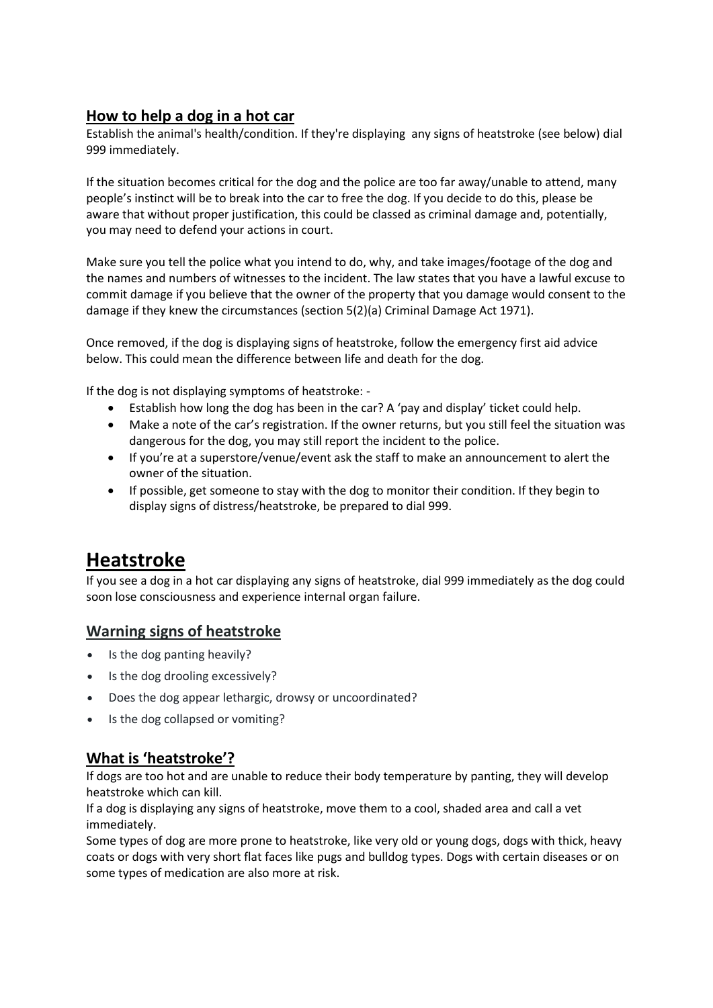### **How to help a dog in a hot car**

Establish the animal's health/condition. If they're displaying [any signs of heatstroke](https://www.rspca.org.uk/adviceandwelfare/pets/dogs/health/dogsinhotcars/heatstroke) (see below) dial 999 immediately.

If the situation becomes critical for the dog and the police are too far away/unable to attend, many people's instinct will be to break into the car to free the dog. If you decide to do this, please be aware that without proper justification, this could be classed as criminal damage and, potentially, you may need to defend your actions in court.

Make sure you tell the police what you intend to do, why, and take images/footage of the dog and the names and numbers of witnesses to the incident. The law states that you have a lawful excuse to commit damage if you believe that the owner of the property that you damage would consent to the damage if they knew the circumstances (section 5(2)(a) Criminal Damage Act 1971).

Once removed, if the dog is displaying signs of heatstroke, [follow the emergency first aid advice](https://www.rspca.org.uk/adviceandwelfare/pets/dogs/health/dogsinhotcars/heatstroke) below. This could mean the difference between life and death for the dog.

If the dog is not displaying symptoms of heatstroke: -

- Establish how long the dog has been in the car? A 'pay and display' ticket could help.
- Make a note of the car's registration. If the owner returns, but you still feel the situation was dangerous for the dog, you may still report the incident to the police.
- If you're at a superstore/venue/event ask the staff to make an announcement to alert the owner of the situation.
- If possible, get someone to stay with the dog to monitor their condition. If they begin to display signs of distress/heatstroke, be prepared to dial 999.

### **Heatstroke**

If you see a dog in a hot car displaying any signs of heatstroke, dial 999 immediately as the dog could soon lose consciousness and experience internal organ failure.

### **Warning signs of heatstroke**

- Is the dog panting heavily?
- Is the dog drooling excessively?
- Does the dog appear lethargic, drowsy or uncoordinated?
- Is the dog collapsed or vomiting?

### **What is 'heatstroke'?**

If dogs are too hot and are unable to reduce their body temperature by panting, they will develop heatstroke which can kill.

If a dog is displaying any signs of heatstroke, move them to a cool, shaded area and call a vet immediately.

Some types of dog are more prone to heatstroke, like very old or young dogs, dogs with thick, heavy coats or dogs with very short flat faces like pugs and bulldog types. Dogs with certain diseases or on some types of medication are also more at risk.